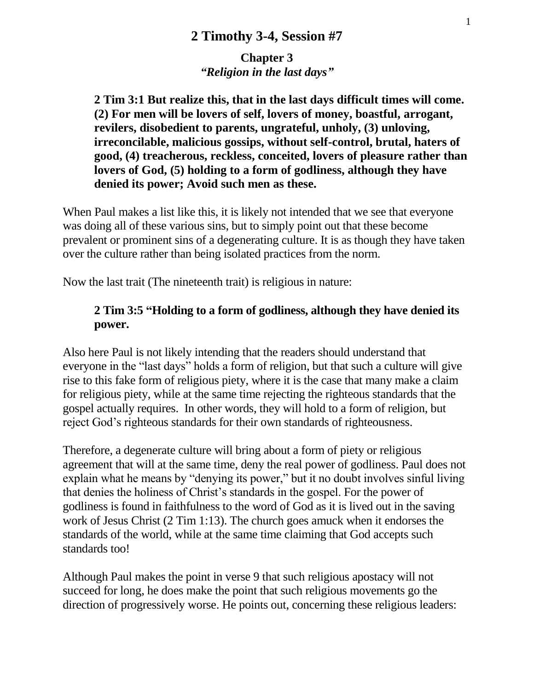**Chapter 3** *"Religion in the last days"*

**2 Tim 3:1 But realize this, that in the last days difficult times will come. (2) For men will be lovers of self, lovers of money, boastful, arrogant, revilers, disobedient to parents, ungrateful, unholy, (3) unloving, irreconcilable, malicious gossips, without self-control, brutal, haters of good, (4) treacherous, reckless, conceited, lovers of pleasure rather than lovers of God, (5) holding to a form of godliness, although they have denied its power; Avoid such men as these.**

When Paul makes a list like this, it is likely not intended that we see that everyone was doing all of these various sins, but to simply point out that these become prevalent or prominent sins of a degenerating culture. It is as though they have taken over the culture rather than being isolated practices from the norm.

Now the last trait (The nineteenth trait) is religious in nature:

#### **2 Tim 3:5 "Holding to a form of godliness, although they have denied its power.**

Also here Paul is not likely intending that the readers should understand that everyone in the "last days" holds a form of religion, but that such a culture will give rise to this fake form of religious piety, where it is the case that many make a claim for religious piety, while at the same time rejecting the righteous standards that the gospel actually requires. In other words, they will hold to a form of religion, but reject God's righteous standards for their own standards of righteousness.

Therefore, a degenerate culture will bring about a form of piety or religious agreement that will at the same time, deny the real power of godliness. Paul does not explain what he means by "denying its power," but it no doubt involves sinful living that denies the holiness of Christ's standards in the gospel. For the power of godliness is found in faithfulness to the word of God as it is lived out in the saving work of Jesus Christ (2 Tim 1:13). The church goes amuck when it endorses the standards of the world, while at the same time claiming that God accepts such standards too!

Although Paul makes the point in verse 9 that such religious apostacy will not succeed for long, he does make the point that such religious movements go the direction of progressively worse. He points out, concerning these religious leaders: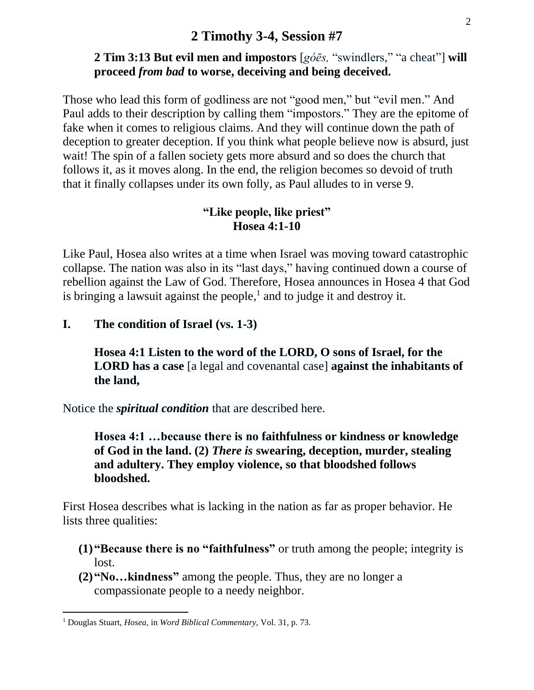# **2 Tim 3:13 But evil men and impostors** [*góēs,* "swindlers," "a cheat"] **will proceed** *from bad* **to worse, deceiving and being deceived.**

Those who lead this form of godliness are not "good men," but "evil men." And Paul adds to their description by calling them "impostors." They are the epitome of fake when it comes to religious claims. And they will continue down the path of deception to greater deception. If you think what people believe now is absurd, just wait! The spin of a fallen society gets more absurd and so does the church that follows it, as it moves along. In the end, the religion becomes so devoid of truth that it finally collapses under its own folly, as Paul alludes to in verse 9.

#### **"Like people, like priest" Hosea 4:1-10**

Like Paul, Hosea also writes at a time when Israel was moving toward catastrophic collapse. The nation was also in its "last days," having continued down a course of rebellion against the Law of God. Therefore, Hosea announces in Hosea 4 that God is bringing a lawsuit against the people, $<sup>1</sup>$  and to judge it and destroy it.</sup>

#### **I. The condition of Israel (vs. 1-3)**

**Hosea 4:1 Listen to the word of the LORD, O sons of Israel, for the LORD has a case** [a legal and covenantal case] **against the inhabitants of the land,** 

Notice the *spiritual condition* that are described here.

**Hosea 4:1 …because there is no faithfulness or kindness or knowledge of God in the land. (2)** *There is* **swearing, deception, murder, stealing and adultery. They employ violence, so that bloodshed follows bloodshed.** 

First Hosea describes what is lacking in the nation as far as proper behavior. He lists three qualities:

- **(1)"Because there is no "faithfulness"** or truth among the people; integrity is lost.
- **(2)"No…kindness"** among the people. Thus, they are no longer a compassionate people to a needy neighbor.

 $\overline{a}$ 

<sup>1</sup> Douglas Stuart, *Hosea,* in *Word Biblical Commentary,* Vol. 31, p. 73.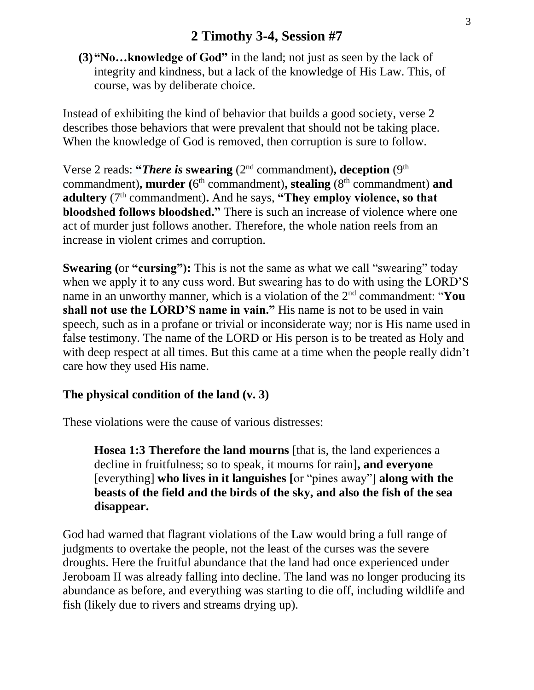**(3)"No…knowledge of God"** in the land; not just as seen by the lack of integrity and kindness, but a lack of the knowledge of His Law. This, of course, was by deliberate choice.

Instead of exhibiting the kind of behavior that builds a good society, verse 2 describes those behaviors that were prevalent that should not be taking place. When the knowledge of God is removed, then corruption is sure to follow.

Verse 2 reads: "*There is* swearing  $(2<sup>nd</sup>$  commandment), deception  $(9<sup>th</sup>$ commandment), murder (6<sup>th</sup> commandment), stealing (8<sup>th</sup> commandment) and **adultery** (7<sup>th</sup> commandment). And he says, "They employ violence, so that **bloodshed follows bloodshed."** There is such an increase of violence where one act of murder just follows another. Therefore, the whole nation reels from an increase in violent crimes and corruption.

**Swearing (or "cursing"):** This is not the same as what we call "swearing" today when we apply it to any cuss word. But swearing has to do with using the LORD'S name in an unworthy manner, which is a violation of the 2nd commandment: "**You shall not use the LORD'S name in vain."** His name is not to be used in vain speech, such as in a profane or trivial or inconsiderate way; nor is His name used in false testimony. The name of the LORD or His person is to be treated as Holy and with deep respect at all times. But this came at a time when the people really didn't care how they used His name.

#### **The physical condition of the land (v. 3)**

These violations were the cause of various distresses:

**Hosea 1:3 Therefore the land mourns** [that is, the land experiences a decline in fruitfulness; so to speak, it mourns for rain]**, and everyone**  [everything] **who lives in it languishes [**or "pines away"] **along with the beasts of the field and the birds of the sky, and also the fish of the sea disappear.**

God had warned that flagrant violations of the Law would bring a full range of judgments to overtake the people, not the least of the curses was the severe droughts. Here the fruitful abundance that the land had once experienced under Jeroboam II was already falling into decline. The land was no longer producing its abundance as before, and everything was starting to die off, including wildlife and fish (likely due to rivers and streams drying up).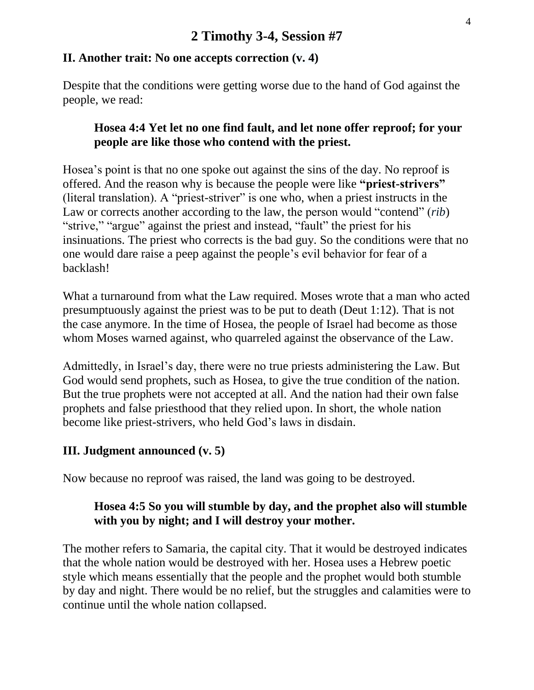### **II. Another trait: No one accepts correction (v. 4)**

Despite that the conditions were getting worse due to the hand of God against the people, we read:

### **Hosea 4:4 Yet let no one find fault, and let none offer reproof; for your people are like those who contend with the priest.**

Hosea's point is that no one spoke out against the sins of the day. No reproof is offered. And the reason why is because the people were like **"priest-strivers"** (literal translation). A "priest-striver" is one who, when a priest instructs in the Law or corrects another according to the law, the person would "contend" (*rib*) "strive," "argue" against the priest and instead, "fault" the priest for his insinuations. The priest who corrects is the bad guy. So the conditions were that no one would dare raise a peep against the people's evil behavior for fear of a backlash!

What a turnaround from what the Law required. Moses wrote that a man who acted presumptuously against the priest was to be put to death (Deut 1:12). That is not the case anymore. In the time of Hosea, the people of Israel had become as those whom Moses warned against, who quarreled against the observance of the Law.

Admittedly, in Israel's day, there were no true priests administering the Law. But God would send prophets, such as Hosea, to give the true condition of the nation. But the true prophets were not accepted at all. And the nation had their own false prophets and false priesthood that they relied upon. In short, the whole nation become like priest-strivers, who held God's laws in disdain.

# **III. Judgment announced (v. 5)**

Now because no reproof was raised, the land was going to be destroyed.

# **Hosea 4:5 So you will stumble by day, and the prophet also will stumble with you by night; and I will destroy your mother.**

The mother refers to Samaria, the capital city. That it would be destroyed indicates that the whole nation would be destroyed with her. Hosea uses a Hebrew poetic style which means essentially that the people and the prophet would both stumble by day and night. There would be no relief, but the struggles and calamities were to continue until the whole nation collapsed.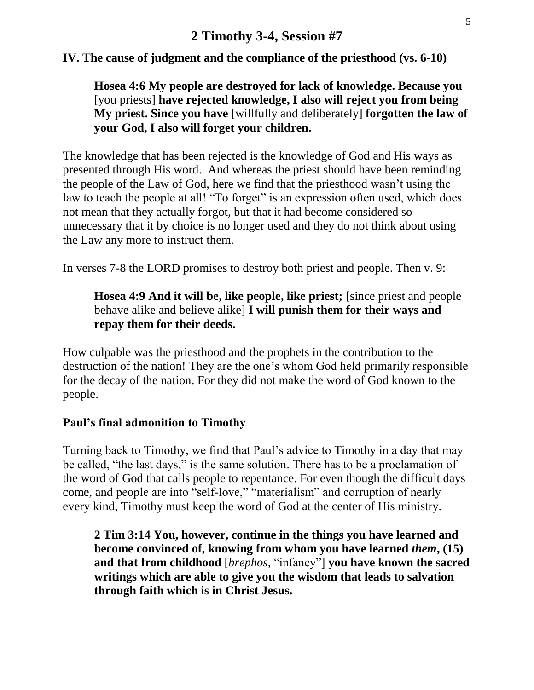### **IV. The cause of judgment and the compliance of the priesthood (vs. 6-10)**

# **Hosea 4:6 My people are destroyed for lack of knowledge. Because you**  [you priests] **have rejected knowledge, I also will reject you from being My priest. Since you have** [willfully and deliberately] **forgotten the law of your God, I also will forget your children.**

The knowledge that has been rejected is the knowledge of God and His ways as presented through His word. And whereas the priest should have been reminding the people of the Law of God, here we find that the priesthood wasn't using the law to teach the people at all! "To forget" is an expression often used, which does not mean that they actually forgot, but that it had become considered so unnecessary that it by choice is no longer used and they do not think about using the Law any more to instruct them.

In verses 7-8 the LORD promises to destroy both priest and people. Then v. 9:

# **Hosea 4:9 And it will be, like people, like priest;** [since priest and people behave alike and believe alike] **I will punish them for their ways and repay them for their deeds.**

How culpable was the priesthood and the prophets in the contribution to the destruction of the nation! They are the one's whom God held primarily responsible for the decay of the nation. For they did not make the word of God known to the people.

#### **Paul's final admonition to Timothy**

Turning back to Timothy, we find that Paul's advice to Timothy in a day that may be called, "the last days," is the same solution. There has to be a proclamation of the word of God that calls people to repentance. For even though the difficult days come, and people are into "self-love," "materialism" and corruption of nearly every kind, Timothy must keep the word of God at the center of His ministry.

**2 Tim 3:14 You, however, continue in the things you have learned and become convinced of, knowing from whom you have learned** *them***, (15) and that from childhood** [*brephos,* "infancy"] **you have known the sacred writings which are able to give you the wisdom that leads to salvation through faith which is in Christ Jesus.**